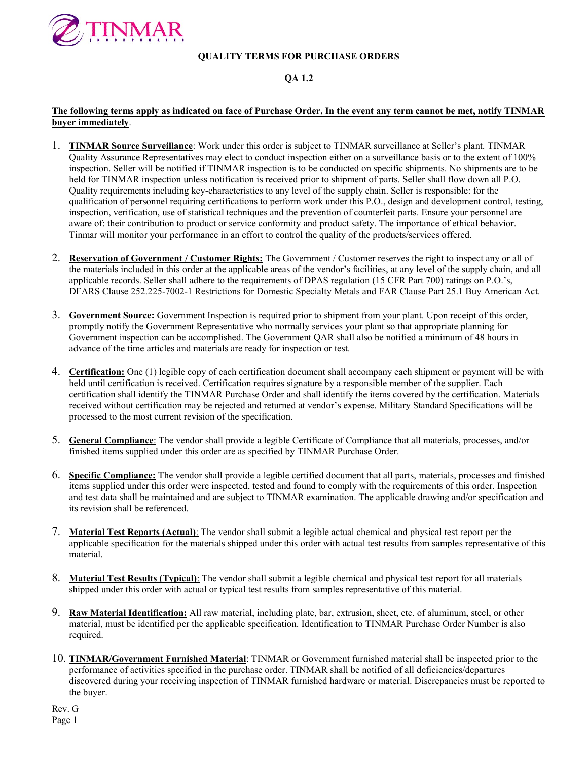

# QA 1.2

## The following terms apply as indicated on face of Purchase Order. In the event any term cannot be met, notify TINMAR buyer immediately.

- 1. TINMAR Source Surveillance: Work under this order is subject to TINMAR surveillance at Seller's plant. TINMAR Quality Assurance Representatives may elect to conduct inspection either on a surveillance basis or to the extent of 100% inspection. Seller will be notified if TINMAR inspection is to be conducted on specific shipments. No shipments are to be held for TINMAR inspection unless notification is received prior to shipment of parts. Seller shall flow down all P.O. Quality requirements including key-characteristics to any level of the supply chain. Seller is responsible: for the qualification of personnel requiring certifications to perform work under this P.O., design and development control, testing, inspection, verification, use of statistical techniques and the prevention of counterfeit parts. Ensure your personnel are aware of: their contribution to product or service conformity and product safety. The importance of ethical behavior. Tinmar will monitor your performance in an effort to control the quality of the products/services offered.
- 2. Reservation of Government / Customer Rights: The Government / Customer reserves the right to inspect any or all of the materials included in this order at the applicable areas of the vendor's facilities, at any level of the supply chain, and all applicable records. Seller shall adhere to the requirements of DPAS regulation (15 CFR Part 700) ratings on P.O.'s, DFARS Clause 252.225-7002-1 Restrictions for Domestic Specialty Metals and FAR Clause Part 25.1 Buy American Act.
- 3. Government Source: Government Inspection is required prior to shipment from your plant. Upon receipt of this order, promptly notify the Government Representative who normally services your plant so that appropriate planning for Government inspection can be accomplished. The Government QAR shall also be notified a minimum of 48 hours in advance of the time articles and materials are ready for inspection or test.
- 4. Certification: One (1) legible copy of each certification document shall accompany each shipment or payment will be with held until certification is received. Certification requires signature by a responsible member of the supplier. Each certification shall identify the TINMAR Purchase Order and shall identify the items covered by the certification. Materials received without certification may be rejected and returned at vendor's expense. Military Standard Specifications will be processed to the most current revision of the specification.
- 5. General Compliance: The vendor shall provide a legible Certificate of Compliance that all materials, processes, and/or finished items supplied under this order are as specified by TINMAR Purchase Order.
- 6. Specific Compliance: The vendor shall provide a legible certified document that all parts, materials, processes and finished items supplied under this order were inspected, tested and found to comply with the requirements of this order. Inspection and test data shall be maintained and are subject to TINMAR examination. The applicable drawing and/or specification and its revision shall be referenced.
- 7. Material Test Reports (Actual): The vendor shall submit a legible actual chemical and physical test report per the applicable specification for the materials shipped under this order with actual test results from samples representative of this material.
- 8. Material Test Results (Typical): The vendor shall submit a legible chemical and physical test report for all materials shipped under this order with actual or typical test results from samples representative of this material.
- 9. Raw Material Identification: All raw material, including plate, bar, extrusion, sheet, etc. of aluminum, steel, or other material, must be identified per the applicable specification. Identification to TINMAR Purchase Order Number is also required.
- 10. TINMAR/Government Furnished Material: TINMAR or Government furnished material shall be inspected prior to the performance of activities specified in the purchase order. TINMAR shall be notified of all deficiencies/departures discovered during your receiving inspection of TINMAR furnished hardware or material. Discrepancies must be reported to the buyer.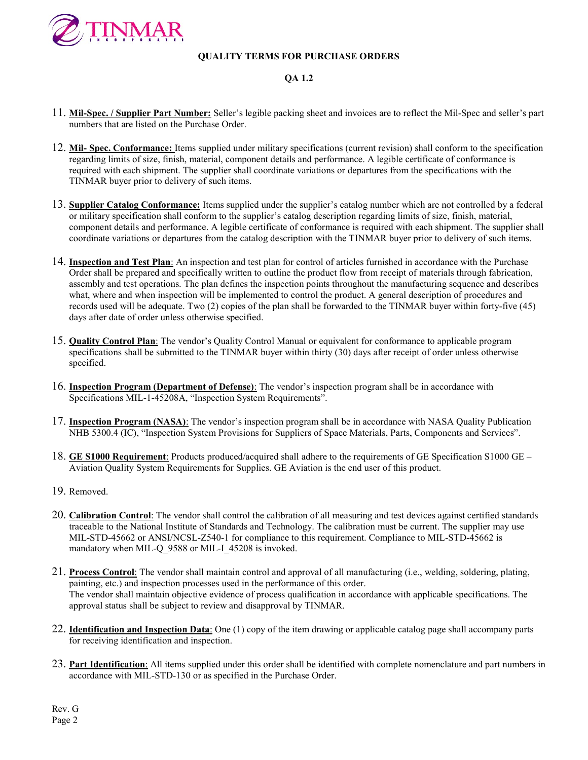

## QA 1.2

- 11. Mil-Spec. / Supplier Part Number: Seller's legible packing sheet and invoices are to reflect the Mil-Spec and seller's part numbers that are listed on the Purchase Order.
- 12. Mil- Spec. Conformance: Items supplied under military specifications (current revision) shall conform to the specification regarding limits of size, finish, material, component details and performance. A legible certificate of conformance is required with each shipment. The supplier shall coordinate variations or departures from the specifications with the TINMAR buyer prior to delivery of such items.
- 13. Supplier Catalog Conformance: Items supplied under the supplier's catalog number which are not controlled by a federal or military specification shall conform to the supplier's catalog description regarding limits of size, finish, material, component details and performance. A legible certificate of conformance is required with each shipment. The supplier shall coordinate variations or departures from the catalog description with the TINMAR buyer prior to delivery of such items.
- 14. **Inspection and Test Plan:** An inspection and test plan for control of articles furnished in accordance with the Purchase Order shall be prepared and specifically written to outline the product flow from receipt of materials through fabrication, assembly and test operations. The plan defines the inspection points throughout the manufacturing sequence and describes what, where and when inspection will be implemented to control the product. A general description of procedures and records used will be adequate. Two (2) copies of the plan shall be forwarded to the TINMAR buyer within forty-five (45) days after date of order unless otherwise specified.
- 15. **Quality Control Plan**: The vendor's Quality Control Manual or equivalent for conformance to applicable program specifications shall be submitted to the TINMAR buyer within thirty (30) days after receipt of order unless otherwise specified.
- 16. **Inspection Program (Department of Defense)**: The vendor's inspection program shall be in accordance with Specifications MIL-1-45208A, "Inspection System Requirements".
- 17. Inspection Program (NASA): The vendor's inspection program shall be in accordance with NASA Quality Publication NHB 5300.4 (IC), "Inspection System Provisions for Suppliers of Space Materials, Parts, Components and Services".
- 18. GE S1000 Requirement: Products produced/acquired shall adhere to the requirements of GE Specification S1000 GE Aviation Quality System Requirements for Supplies. GE Aviation is the end user of this product.
- 19. Removed.
- 20. Calibration Control: The vendor shall control the calibration of all measuring and test devices against certified standards traceable to the National Institute of Standards and Technology. The calibration must be current. The supplier may use MIL-STD-45662 or ANSI/NCSL-Z540-1 for compliance to this requirement. Compliance to MIL-STD-45662 is mandatory when MIL-Q\_9588 or MIL-I\_45208 is invoked.
- 21. Process Control: The vendor shall maintain control and approval of all manufacturing (i.e., welding, soldering, plating, painting, etc.) and inspection processes used in the performance of this order. The vendor shall maintain objective evidence of process qualification in accordance with applicable specifications. The approval status shall be subject to review and disapproval by TINMAR.
- 22. **Identification and Inspection Data**: One (1) copy of the item drawing or applicable catalog page shall accompany parts for receiving identification and inspection.
- 23. Part Identification: All items supplied under this order shall be identified with complete nomenclature and part numbers in accordance with MIL-STD-130 or as specified in the Purchase Order.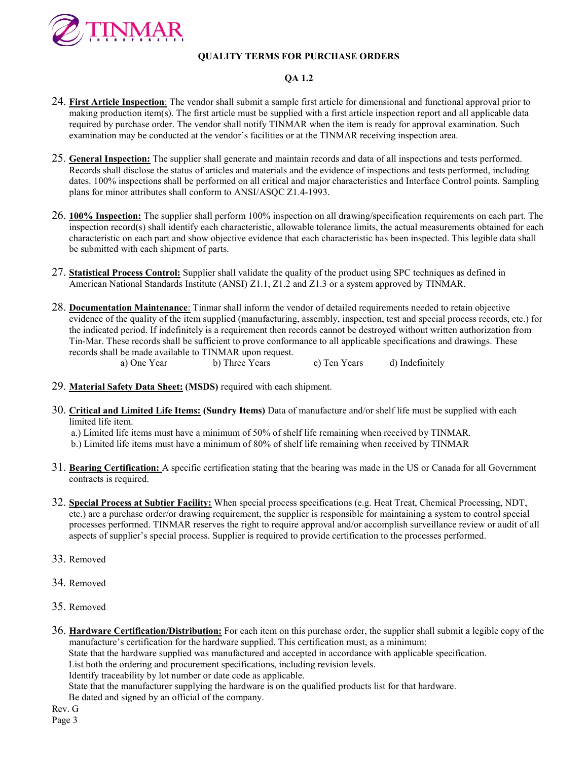

#### QA 1.2

- 24. First Article Inspection: The vendor shall submit a sample first article for dimensional and functional approval prior to making production item(s). The first article must be supplied with a first article inspection report and all applicable data required by purchase order. The vendor shall notify TINMAR when the item is ready for approval examination. Such examination may be conducted at the vendor's facilities or at the TINMAR receiving inspection area.
- 25. General Inspection: The supplier shall generate and maintain records and data of all inspections and tests performed. Records shall disclose the status of articles and materials and the evidence of inspections and tests performed, including dates. 100% inspections shall be performed on all critical and major characteristics and Interface Control points. Sampling plans for minor attributes shall conform to ANSI/ASQC Z1.4-1993.
- 26. 100% Inspection: The supplier shall perform 100% inspection on all drawing/specification requirements on each part. The  $\overline{\text{insection record(s)}}$  shall identify each characteristic, allowable tolerance limits, the actual measurements obtained for each characteristic on each part and show objective evidence that each characteristic has been inspected. This legible data shall be submitted with each shipment of parts.
- 27. **Statistical Process Control:** Supplier shall validate the quality of the product using SPC techniques as defined in American National Standards Institute (ANSI) Z1.1, Z1.2 and Z1.3 or a system approved by TINMAR.
- 28. Documentation Maintenance: Tinmar shall inform the vendor of detailed requirements needed to retain objective evidence of the quality of the item supplied (manufacturing, assembly, inspection, test and special process records, etc.) for the indicated period. If indefinitely is a requirement then records cannot be destroyed without written authorization from Tin-Mar. These records shall be sufficient to prove conformance to all applicable specifications and drawings. These records shall be made available to TINMAR upon request.

a) One Year b) Three Years c) Ten Years d) Indefinitely

- 29. Material Safety Data Sheet: (MSDS) required with each shipment.
- 30. Critical and Limited Life Items: (Sundry Items) Data of manufacture and/or shelf life must be supplied with each limited life item.

a.) Limited life items must have a minimum of 50% of shelf life remaining when received by TINMAR.

- b.) Limited life items must have a minimum of 80% of shelf life remaining when received by TINMAR
- 31. Bearing Certification: A specific certification stating that the bearing was made in the US or Canada for all Government contracts is required.
- 32. Special Process at Subtier Facility: When special process specifications (e.g. Heat Treat, Chemical Processing, NDT, etc.) are a purchase order/or drawing requirement, the supplier is responsible for maintaining a system to control special processes performed. TINMAR reserves the right to require approval and/or accomplish surveillance review or audit of all aspects of supplier's special process. Supplier is required to provide certification to the processes performed.
- 33. Removed
- 34. Removed
- 35. Removed
- 36. Hardware Certification/Distribution: For each item on this purchase order, the supplier shall submit a legible copy of the manufacture's certification for the hardware supplied. This certification must, as a minimum:

State that the hardware supplied was manufactured and accepted in accordance with applicable specification.

List both the ordering and procurement specifications, including revision levels.

Identify traceability by lot number or date code as applicable.

State that the manufacturer supplying the hardware is on the qualified products list for that hardware.

Be dated and signed by an official of the company.